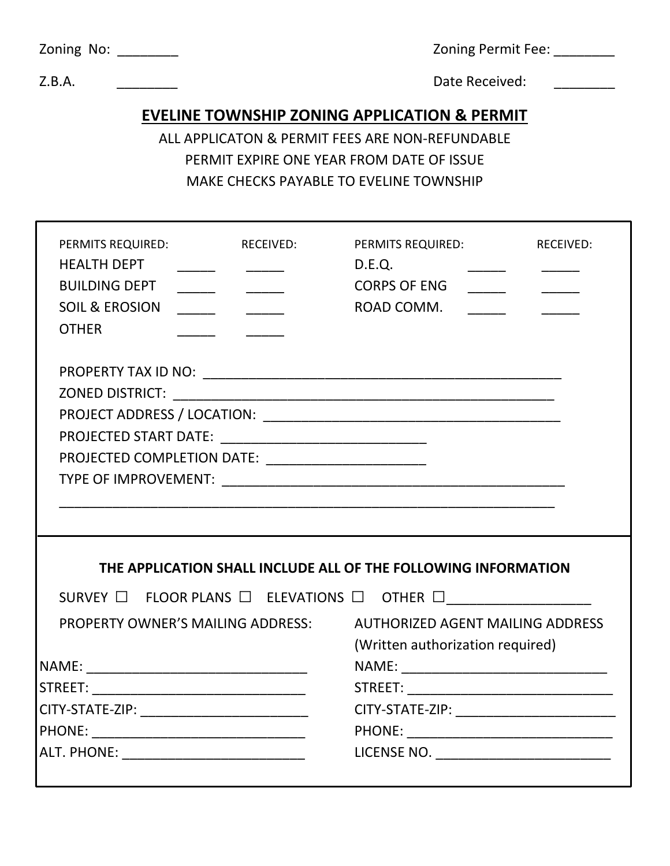| Zoning No: |  |
|------------|--|
|            |  |

Zoning Permit Fee: \_\_\_\_\_\_\_\_

Z.B.A. Z.B.A. 2.B.A. 2.B.A. 2.B.A. 2.B.A. 2.B.A. 2.B.A. 2.B.A. 2.B.A. 2.B.A. 2.Date Received:

### **EVELINE TOWNSHIP ZONING APPLICATION & PERMIT**

# ALL APPLICATON & PERMIT FEES ARE NON-REFUNDABLE PERMIT EXPIRE ONE YEAR FROM DATE OF ISSUE MAKE CHECKS PAYABLE TO EVELINE TOWNSHIP

| PERMITS REQUIRED:<br><b>RECEIVED:</b><br><b>HEALTH DEPT</b><br><b>BUILDING DEPT</b><br><b>SOIL &amp; EROSION</b><br><b>OTHER</b> | PERMITS REQUIRED:<br><b>RECEIVED:</b><br>D.E.Q.<br><b>CORPS OF ENG</b><br>$\overline{\phantom{a}}$<br>ROAD COMM. |
|----------------------------------------------------------------------------------------------------------------------------------|------------------------------------------------------------------------------------------------------------------|
|                                                                                                                                  |                                                                                                                  |
|                                                                                                                                  |                                                                                                                  |
|                                                                                                                                  |                                                                                                                  |
|                                                                                                                                  |                                                                                                                  |
| PROJECTED COMPLETION DATE: ___________________________                                                                           |                                                                                                                  |
|                                                                                                                                  |                                                                                                                  |
| THE APPLICATION SHALL INCLUDE ALL OF THE FOLLOWING INFORMATION                                                                   |                                                                                                                  |
| SURVEY $\Box$ FLOOR PLANS $\Box$ ELEVATIONS $\Box$ OTHER $\Box$ _________________________                                        |                                                                                                                  |
| <b>PROPERTY OWNER'S MAILING ADDRESS:</b>                                                                                         | <b>AUTHORIZED AGENT MAILING ADDRESS</b><br>(Written authorization required)                                      |
|                                                                                                                                  |                                                                                                                  |
|                                                                                                                                  |                                                                                                                  |
|                                                                                                                                  |                                                                                                                  |
|                                                                                                                                  |                                                                                                                  |
| ALT. PHONE: ________________________________                                                                                     |                                                                                                                  |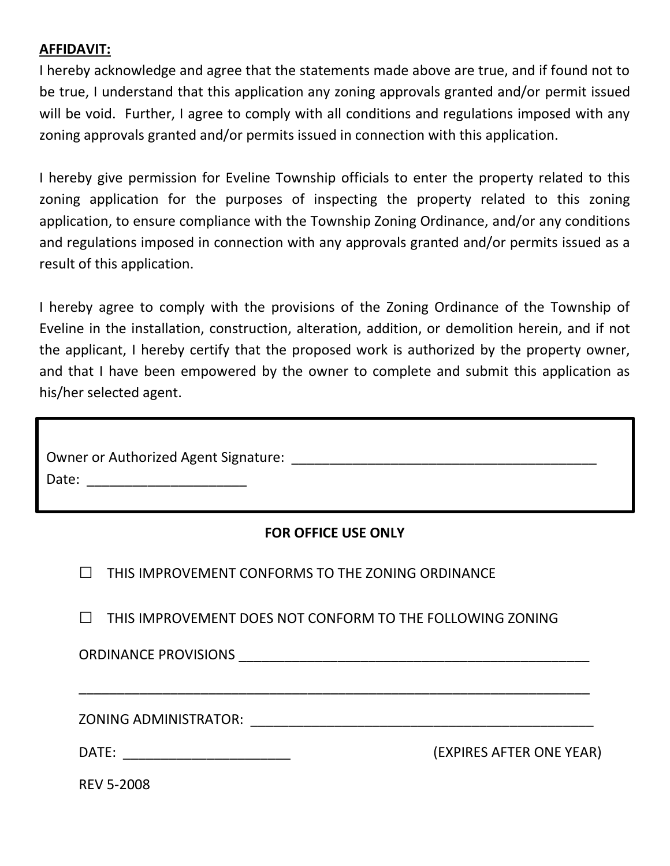### **AFFIDAVIT:**

I hereby acknowledge and agree that the statements made above are true, and if found not to be true, I understand that this application any zoning approvals granted and/or permit issued will be void. Further, I agree to comply with all conditions and regulations imposed with any zoning approvals granted and/or permits issued in connection with this application.

I hereby give permission for Eveline Township officials to enter the property related to this zoning application for the purposes of inspecting the property related to this zoning application, to ensure compliance with the Township Zoning Ordinance, and/or any conditions and regulations imposed in connection with any approvals granted and/or permits issued as a result of this application.

I hereby agree to comply with the provisions of the Zoning Ordinance of the Township of Eveline in the installation, construction, alteration, addition, or demolition herein, and if not the applicant, I hereby certify that the proposed work is authorized by the property owner, and that I have been empowered by the owner to complete and submit this application as his/her selected agent.

| <b>Owner or Authorized Agent Signature:</b> |  |
|---------------------------------------------|--|
| Date:                                       |  |

#### **FOR OFFICE USE ONLY**

| THIS IMPROVEMENT CONFORMS TO THE ZONING ORDINANCE                                                              |                          |  |
|----------------------------------------------------------------------------------------------------------------|--------------------------|--|
| THIS IMPROVEMENT DOES NOT CONFORM TO THE FOLLOWING ZONING                                                      |                          |  |
|                                                                                                                |                          |  |
| ZONING ADMINISTRATOR: The Contract of the Contract of Tennis and Tennis and Tennis and Tennis and Tennis and T |                          |  |
| DATE:<br><u> 1980 - Jan James James Barbara, martxa eta idazlea (</u>                                          | (EXPIRES AFTER ONE YEAR) |  |
| <b>REV 5-2008</b>                                                                                              |                          |  |